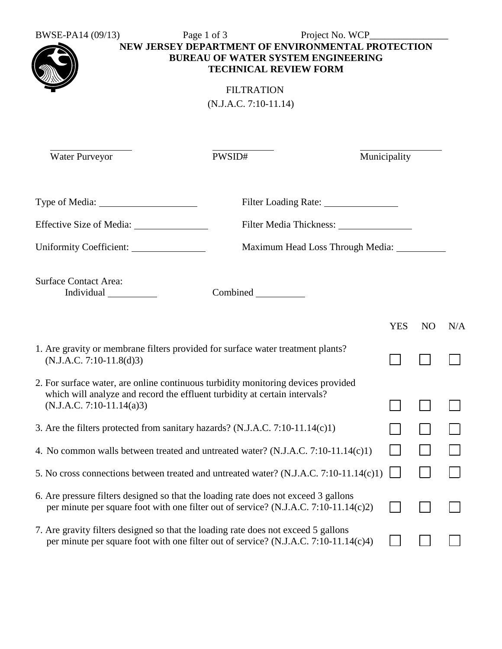BWSE-PA14 (09/13) Page 1 of 3 Project No. WCP\_\_\_\_\_\_\_\_\_\_\_\_\_\_\_\_



**NEW JERSEY DEPARTMENT OF ENVIRONMENTAL PROTECTION BUREAU OF WATER SYSTEM ENGINEERING TECHNICAL REVIEW FORM**

> FILTRATION (N.J.A.C. 7:10-11.14)

Water Purveyor PWSID# PWSID# Municipality

|                                            | Filter Loading Rate: ________________          |
|--------------------------------------------|------------------------------------------------|
|                                            |                                                |
| Uniformity Coefficient:                    | Maximum Head Loss Through Media: _____________ |
| <b>Surface Contact Area:</b><br>Individual |                                                |
|                                            | YES<br>NO.<br>N/A                              |

| 1. Are gravity or membrane filters provided for surface water treatment plants?<br>$(N.J.A.C. 7:10-11.8(d)3)$                                                                  |  |  |
|--------------------------------------------------------------------------------------------------------------------------------------------------------------------------------|--|--|
| 2. For surface water, are online continuous turbidity monitoring devices provided<br>which will analyze and record the effluent turbidity at certain intervals?                |  |  |
| $(N.J.A.C. 7:10-11.14(a)3)$                                                                                                                                                    |  |  |
| 3. Are the filters protected from sanitary hazards? (N.J.A.C. 7:10-11.14 $(c)$ 1)                                                                                              |  |  |
| 4. No common walls between treated and untreated water? (N.J.A.C. 7:10-11.14(c)1)                                                                                              |  |  |
| 5. No cross connections between treated and untreated water? (N.J.A.C. 7:10-11.14(c)1)                                                                                         |  |  |
| 6. Are pressure filters designed so that the loading rate does not exceed 3 gallons<br>per minute per square foot with one filter out of service? (N.J.A.C. 7:10-11.14 $(c)$ ) |  |  |
| 7. Are gravity filters designed so that the loading rate does not exceed 5 gallons<br>per minute per square foot with one filter out of service? (N.J.A.C. 7:10-11.14(c)4)     |  |  |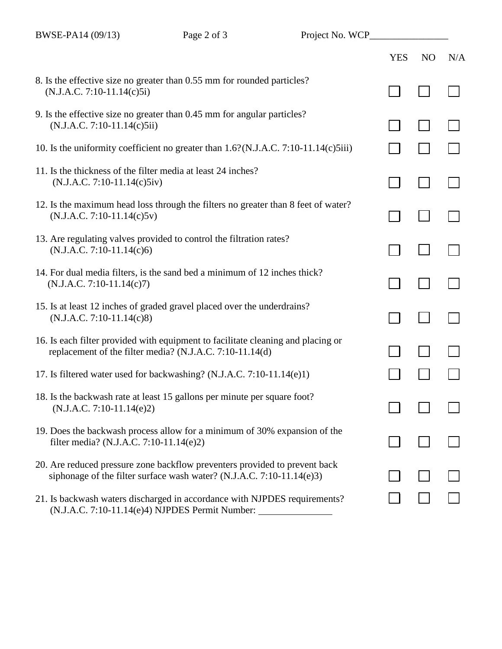|                                                                                                                                                     | <b>YES</b> | N <sub>O</sub> | N/A |
|-----------------------------------------------------------------------------------------------------------------------------------------------------|------------|----------------|-----|
| 8. Is the effective size no greater than 0.55 mm for rounded particles?<br>$(N.J.A.C. 7:10-11.14(c)5i)$                                             |            |                |     |
| 9. Is the effective size no greater than 0.45 mm for angular particles?<br>$(N.J.A.C. 7:10-11.14(c)5ii)$                                            |            |                |     |
| 10. Is the uniformity coefficient no greater than 1.6?(N.J.A.C. 7:10-11.14(c)5iii)                                                                  |            |                |     |
| 11. Is the thickness of the filter media at least 24 inches?<br>$(N.J.A.C. 7:10-11.14(c)5iv)$                                                       |            |                |     |
| 12. Is the maximum head loss through the filters no greater than 8 feet of water?<br>$(N.J.A.C. 7:10-11.14(c)5v)$                                   |            |                |     |
| 13. Are regulating valves provided to control the filtration rates?<br>$(N.J.A.C. 7:10-11.14(c)6)$                                                  |            |                |     |
| 14. For dual media filters, is the sand bed a minimum of 12 inches thick?<br>$(N.J.A.C. 7:10-11.14(c)7)$                                            |            |                |     |
| 15. Is at least 12 inches of graded gravel placed over the underdrains?<br>$(N.J.A.C. 7:10-11.14(c)8)$                                              |            |                |     |
| 16. Is each filter provided with equipment to facilitate cleaning and placing or<br>replacement of the filter media? (N.J.A.C. 7:10-11.14(d)        |            |                |     |
| 17. Is filtered water used for backwashing? (N.J.A.C. 7:10-11.14(e)1)                                                                               |            |                |     |
| 18. Is the backwash rate at least 15 gallons per minute per square foot?<br>$(N.J.A.C. 7:10-11.14(e)2)$                                             |            |                |     |
| 19. Does the backwash process allow for a minimum of 30% expansion of the<br>filter media? (N.J.A.C. 7:10-11.14(e)2)                                |            |                |     |
| 20. Are reduced pressure zone backflow preventers provided to prevent back<br>siphonage of the filter surface wash water? (N.J.A.C. 7:10-11.14(e)3) |            |                |     |
| 21. Is backwash waters discharged in accordance with NJPDES requirements?<br>(N.J.A.C. 7:10-11.14(e)4) NJPDES Permit Number:                        |            |                |     |